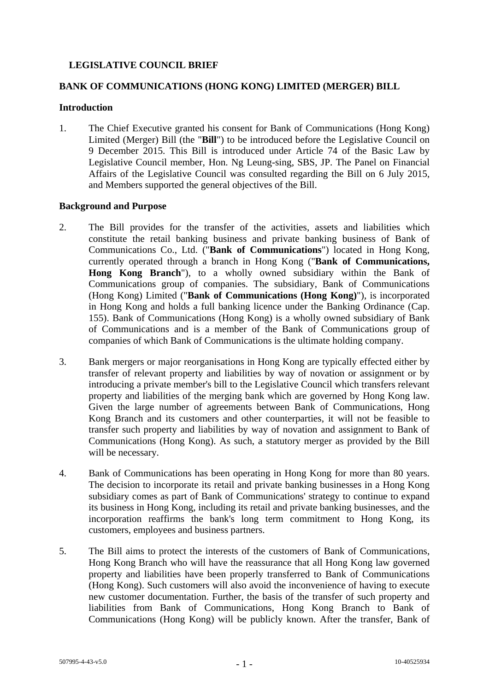# **LEGISLATIVE COUNCIL BRIEF**

## **BANK OF COMMUNICATIONS (HONG KONG) LIMITED (MERGER) BILL**

#### **Introduction**

1. The Chief Executive granted his consent for Bank of Communications (Hong Kong) Limited (Merger) Bill (the "**Bill**") to be introduced before the Legislative Council on 9 December 2015. This Bill is introduced under Article 74 of the Basic Law by Legislative Council member, Hon. Ng Leung-sing, SBS, JP. The Panel on Financial Affairs of the Legislative Council was consulted regarding the Bill on 6 July 2015, and Members supported the general objectives of the Bill.

#### **Background and Purpose**

- 2. The Bill provides for the transfer of the activities, assets and liabilities which constitute the retail banking business and private banking business of Bank of Communications Co., Ltd. ("**Bank of Communications**") located in Hong Kong, currently operated through a branch in Hong Kong ("**Bank of Communications, Hong Kong Branch**"), to a wholly owned subsidiary within the Bank of Communications group of companies. The subsidiary, Bank of Communications (Hong Kong) Limited ("**Bank of Communications (Hong Kong)**"), is incorporated in Hong Kong and holds a full banking licence under the Banking Ordinance (Cap. 155). Bank of Communications (Hong Kong) is a wholly owned subsidiary of Bank of Communications and is a member of the Bank of Communications group of companies of which Bank of Communications is the ultimate holding company.
- 3. Bank mergers or major reorganisations in Hong Kong are typically effected either by transfer of relevant property and liabilities by way of novation or assignment or by introducing a private member's bill to the Legislative Council which transfers relevant property and liabilities of the merging bank which are governed by Hong Kong law. Given the large number of agreements between Bank of Communications, Hong Kong Branch and its customers and other counterparties, it will not be feasible to transfer such property and liabilities by way of novation and assignment to Bank of Communications (Hong Kong). As such, a statutory merger as provided by the Bill will be necessary.
- 4. Bank of Communications has been operating in Hong Kong for more than 80 years. The decision to incorporate its retail and private banking businesses in a Hong Kong subsidiary comes as part of Bank of Communications' strategy to continue to expand its business in Hong Kong, including its retail and private banking businesses, and the incorporation reaffirms the bank's long term commitment to Hong Kong, its customers, employees and business partners.
- 5. The Bill aims to protect the interests of the customers of Bank of Communications, Hong Kong Branch who will have the reassurance that all Hong Kong law governed property and liabilities have been properly transferred to Bank of Communications (Hong Kong). Such customers will also avoid the inconvenience of having to execute new customer documentation. Further, the basis of the transfer of such property and liabilities from Bank of Communications, Hong Kong Branch to Bank of Communications (Hong Kong) will be publicly known. After the transfer, Bank of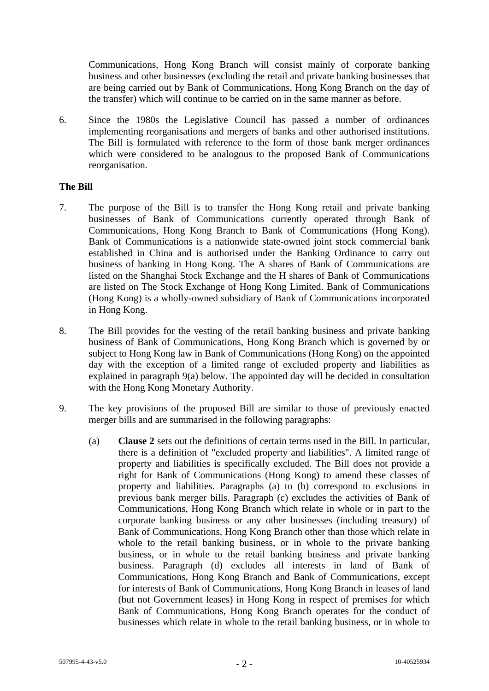Communications, Hong Kong Branch will consist mainly of corporate banking business and other businesses (excluding the retail and private banking businesses that are being carried out by Bank of Communications, Hong Kong Branch on the day of the transfer) which will continue to be carried on in the same manner as before.

6. Since the 1980s the Legislative Council has passed a number of ordinances implementing reorganisations and mergers of banks and other authorised institutions. The Bill is formulated with reference to the form of those bank merger ordinances which were considered to be analogous to the proposed Bank of Communications reorganisation.

## **The Bill**

- 7. The purpose of the Bill is to transfer the Hong Kong retail and private banking businesses of Bank of Communications currently operated through Bank of Communications, Hong Kong Branch to Bank of Communications (Hong Kong). Bank of Communications is a nationwide state-owned joint stock commercial bank established in China and is authorised under the Banking Ordinance to carry out business of banking in Hong Kong. The A shares of Bank of Communications are listed on the Shanghai Stock Exchange and the H shares of Bank of Communications are listed on The Stock Exchange of Hong Kong Limited. Bank of Communications (Hong Kong) is a wholly-owned subsidiary of Bank of Communications incorporated in Hong Kong.
- 8. The Bill provides for the vesting of the retail banking business and private banking business of Bank of Communications, Hong Kong Branch which is governed by or subject to Hong Kong law in Bank of Communications (Hong Kong) on the appointed day with the exception of a limited range of excluded property and liabilities as explained in paragraph 9(a) below. The appointed day will be decided in consultation with the Hong Kong Monetary Authority.
- 9. The key provisions of the proposed Bill are similar to those of previously enacted merger bills and are summarised in the following paragraphs:
	- (a) **Clause 2** sets out the definitions of certain terms used in the Bill. In particular, there is a definition of "excluded property and liabilities". A limited range of property and liabilities is specifically excluded. The Bill does not provide a right for Bank of Communications (Hong Kong) to amend these classes of property and liabilities. Paragraphs (a) to (b) correspond to exclusions in previous bank merger bills. Paragraph (c) excludes the activities of Bank of Communications, Hong Kong Branch which relate in whole or in part to the corporate banking business or any other businesses (including treasury) of Bank of Communications, Hong Kong Branch other than those which relate in whole to the retail banking business, or in whole to the private banking business, or in whole to the retail banking business and private banking business. Paragraph (d) excludes all interests in land of Bank of Communications, Hong Kong Branch and Bank of Communications, except for interests of Bank of Communications, Hong Kong Branch in leases of land (but not Government leases) in Hong Kong in respect of premises for which Bank of Communications, Hong Kong Branch operates for the conduct of businesses which relate in whole to the retail banking business, or in whole to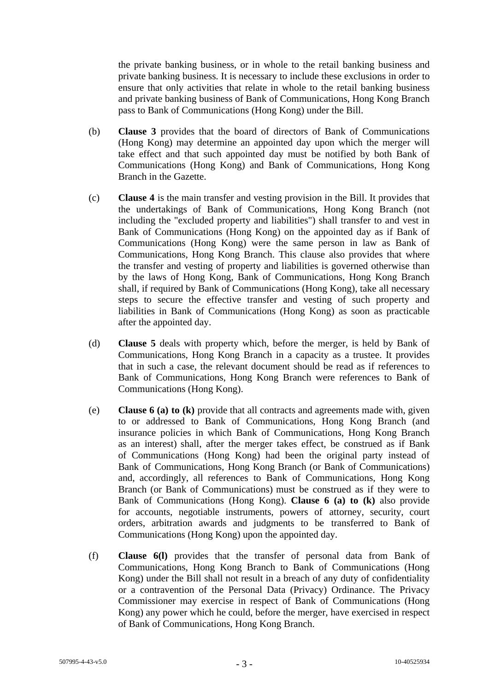the private banking business, or in whole to the retail banking business and private banking business. It is necessary to include these exclusions in order to ensure that only activities that relate in whole to the retail banking business and private banking business of Bank of Communications, Hong Kong Branch pass to Bank of Communications (Hong Kong) under the Bill.

- (b) **Clause 3** provides that the board of directors of Bank of Communications (Hong Kong) may determine an appointed day upon which the merger will take effect and that such appointed day must be notified by both Bank of Communications (Hong Kong) and Bank of Communications, Hong Kong Branch in the Gazette.
- (c) **Clause 4** is the main transfer and vesting provision in the Bill. It provides that the undertakings of Bank of Communications, Hong Kong Branch (not including the "excluded property and liabilities") shall transfer to and vest in Bank of Communications (Hong Kong) on the appointed day as if Bank of Communications (Hong Kong) were the same person in law as Bank of Communications, Hong Kong Branch. This clause also provides that where the transfer and vesting of property and liabilities is governed otherwise than by the laws of Hong Kong, Bank of Communications, Hong Kong Branch shall, if required by Bank of Communications (Hong Kong), take all necessary steps to secure the effective transfer and vesting of such property and liabilities in Bank of Communications (Hong Kong) as soon as practicable after the appointed day.
- (d) **Clause 5** deals with property which, before the merger, is held by Bank of Communications, Hong Kong Branch in a capacity as a trustee. It provides that in such a case, the relevant document should be read as if references to Bank of Communications, Hong Kong Branch were references to Bank of Communications (Hong Kong).
- (e) **Clause 6 (a) to (k)** provide that all contracts and agreements made with, given to or addressed to Bank of Communications, Hong Kong Branch (and insurance policies in which Bank of Communications, Hong Kong Branch as an interest) shall, after the merger takes effect, be construed as if Bank of Communications (Hong Kong) had been the original party instead of Bank of Communications, Hong Kong Branch (or Bank of Communications) and, accordingly, all references to Bank of Communications, Hong Kong Branch (or Bank of Communications) must be construed as if they were to Bank of Communications (Hong Kong). **Clause 6 (a) to (k)** also provide for accounts, negotiable instruments, powers of attorney, security, court orders, arbitration awards and judgments to be transferred to Bank of Communications (Hong Kong) upon the appointed day.
- (f) **Clause 6(l)** provides that the transfer of personal data from Bank of Communications, Hong Kong Branch to Bank of Communications (Hong Kong) under the Bill shall not result in a breach of any duty of confidentiality or a contravention of the Personal Data (Privacy) Ordinance. The Privacy Commissioner may exercise in respect of Bank of Communications (Hong Kong) any power which he could, before the merger, have exercised in respect of Bank of Communications, Hong Kong Branch.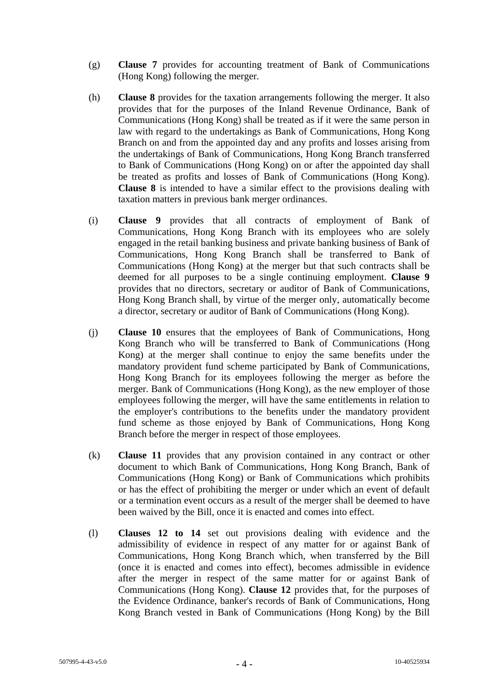- (g) **Clause 7** provides for accounting treatment of Bank of Communications (Hong Kong) following the merger.
- (h) **Clause 8** provides for the taxation arrangements following the merger. It also provides that for the purposes of the Inland Revenue Ordinance, Bank of Communications (Hong Kong) shall be treated as if it were the same person in law with regard to the undertakings as Bank of Communications, Hong Kong Branch on and from the appointed day and any profits and losses arising from the undertakings of Bank of Communications, Hong Kong Branch transferred to Bank of Communications (Hong Kong) on or after the appointed day shall be treated as profits and losses of Bank of Communications (Hong Kong). **Clause 8** is intended to have a similar effect to the provisions dealing with taxation matters in previous bank merger ordinances.
- (i) **Clause 9** provides that all contracts of employment of Bank of Communications, Hong Kong Branch with its employees who are solely engaged in the retail banking business and private banking business of Bank of Communications, Hong Kong Branch shall be transferred to Bank of Communications (Hong Kong) at the merger but that such contracts shall be deemed for all purposes to be a single continuing employment. **Clause 9**  provides that no directors, secretary or auditor of Bank of Communications, Hong Kong Branch shall, by virtue of the merger only, automatically become a director, secretary or auditor of Bank of Communications (Hong Kong).
- (j) **Clause 10** ensures that the employees of Bank of Communications, Hong Kong Branch who will be transferred to Bank of Communications (Hong Kong) at the merger shall continue to enjoy the same benefits under the mandatory provident fund scheme participated by Bank of Communications, Hong Kong Branch for its employees following the merger as before the merger. Bank of Communications (Hong Kong), as the new employer of those employees following the merger, will have the same entitlements in relation to the employer's contributions to the benefits under the mandatory provident fund scheme as those enjoyed by Bank of Communications, Hong Kong Branch before the merger in respect of those employees.
- (k) **Clause 11** provides that any provision contained in any contract or other document to which Bank of Communications, Hong Kong Branch, Bank of Communications (Hong Kong) or Bank of Communications which prohibits or has the effect of prohibiting the merger or under which an event of default or a termination event occurs as a result of the merger shall be deemed to have been waived by the Bill, once it is enacted and comes into effect.
- (l) **Clauses 12 to 14** set out provisions dealing with evidence and the admissibility of evidence in respect of any matter for or against Bank of Communications, Hong Kong Branch which, when transferred by the Bill (once it is enacted and comes into effect), becomes admissible in evidence after the merger in respect of the same matter for or against Bank of Communications (Hong Kong). **Clause 12** provides that, for the purposes of the Evidence Ordinance, banker's records of Bank of Communications, Hong Kong Branch vested in Bank of Communications (Hong Kong) by the Bill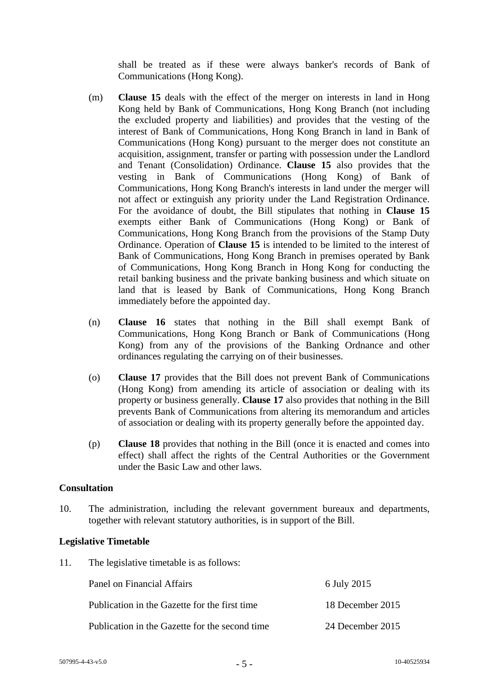shall be treated as if these were always banker's records of Bank of Communications (Hong Kong).

- (m) **Clause 15** deals with the effect of the merger on interests in land in Hong Kong held by Bank of Communications, Hong Kong Branch (not including the excluded property and liabilities) and provides that the vesting of the interest of Bank of Communications, Hong Kong Branch in land in Bank of Communications (Hong Kong) pursuant to the merger does not constitute an acquisition, assignment, transfer or parting with possession under the Landlord and Tenant (Consolidation) Ordinance. **Clause 15** also provides that the vesting in Bank of Communications (Hong Kong) of Bank of Communications, Hong Kong Branch's interests in land under the merger will not affect or extinguish any priority under the Land Registration Ordinance. For the avoidance of doubt, the Bill stipulates that nothing in **Clause 15**  exempts either Bank of Communications (Hong Kong) or Bank of Communications, Hong Kong Branch from the provisions of the Stamp Duty Ordinance. Operation of **Clause 15** is intended to be limited to the interest of Bank of Communications, Hong Kong Branch in premises operated by Bank of Communications, Hong Kong Branch in Hong Kong for conducting the retail banking business and the private banking business and which situate on land that is leased by Bank of Communications, Hong Kong Branch immediately before the appointed day.
- (n) **Clause 16** states that nothing in the Bill shall exempt Bank of Communications, Hong Kong Branch or Bank of Communications (Hong Kong) from any of the provisions of the Banking Ordnance and other ordinances regulating the carrying on of their businesses.
- (o) **Clause 17** provides that the Bill does not prevent Bank of Communications (Hong Kong) from amending its article of association or dealing with its property or business generally. **Clause 17** also provides that nothing in the Bill prevents Bank of Communications from altering its memorandum and articles of association or dealing with its property generally before the appointed day.
- (p) **Clause 18** provides that nothing in the Bill (once it is enacted and comes into effect) shall affect the rights of the Central Authorities or the Government under the Basic Law and other laws.

## **Consultation**

10. The administration, including the relevant government bureaux and departments, together with relevant statutory authorities, is in support of the Bill.

#### **Legislative Timetable**

11. The legislative timetable is as follows:

Panel on Financial Affairs 6 July 2015 Publication in the Gazette for the first time 18 December 2015 Publication in the Gazette for the second time 24 December 2015